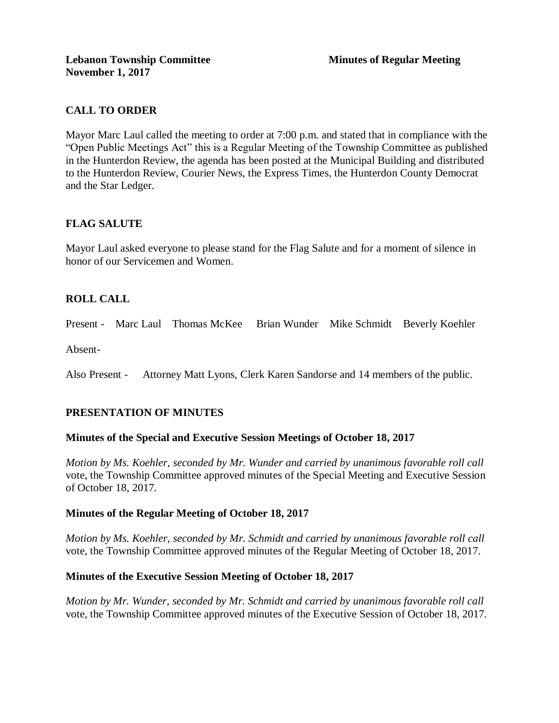# **CALL TO ORDER**

Mayor Marc Laul called the meeting to order at 7:00 p.m. and stated that in compliance with the "Open Public Meetings Act" this is a Regular Meeting of the Township Committee as published in the Hunterdon Review, the agenda has been posted at the Municipal Building and distributed to the Hunterdon Review, Courier News, the Express Times, the Hunterdon County Democrat and the Star Ledger.

# **FLAG SALUTE**

Mayor Laul asked everyone to please stand for the Flag Salute and for a moment of silence in honor of our Servicemen and Women.

# **ROLL CALL**

Present - Marc Laul Thomas McKee Brian Wunder Mike Schmidt Beverly Koehler

Absent-

Also Present - Attorney Matt Lyons, Clerk Karen Sandorse and 14 members of the public.

# **PRESENTATION OF MINUTES**

### **Minutes of the Special and Executive Session Meetings of October 18, 2017**

*Motion by Ms. Koehler, seconded by Mr. Wunder and carried by unanimous favorable roll call*  vote, the Township Committee approved minutes of the Special Meeting and Executive Session of October 18, 2017.

### **Minutes of the Regular Meeting of October 18, 2017**

*Motion by Ms. Koehler, seconded by Mr. Schmidt and carried by unanimous favorable roll call*  vote, the Township Committee approved minutes of the Regular Meeting of October 18, 2017.

### **Minutes of the Executive Session Meeting of October 18, 2017**

*Motion by Mr. Wunder, seconded by Mr. Schmidt and carried by unanimous favorable roll call*  vote, the Township Committee approved minutes of the Executive Session of October 18, 2017.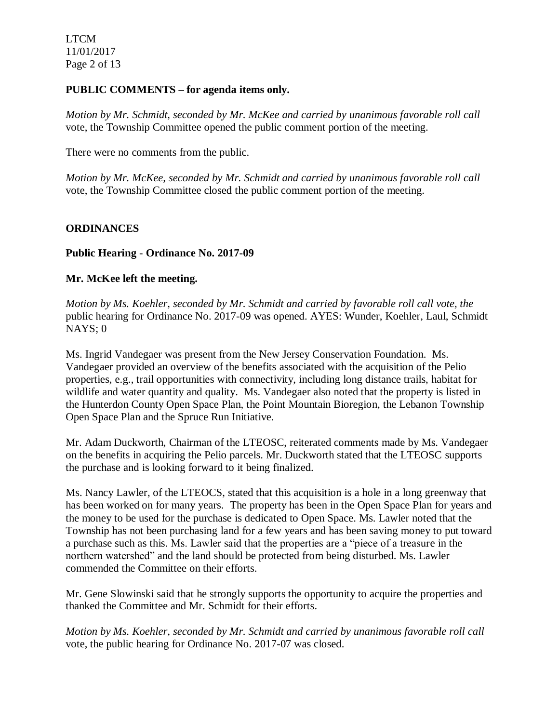LTCM 11/01/2017 Page 2 of 13

### **PUBLIC COMMENTS – for agenda items only.**

*Motion by Mr. Schmidt, seconded by Mr. McKee and carried by unanimous favorable roll call*  vote, the Township Committee opened the public comment portion of the meeting.

There were no comments from the public.

*Motion by Mr. McKee, seconded by Mr. Schmidt and carried by unanimous favorable roll call*  vote, the Township Committee closed the public comment portion of the meeting.

## **ORDINANCES**

### **Public Hearing** - **Ordinance No. 2017-09**

### **Mr. McKee left the meeting.**

*Motion by Ms. Koehler, seconded by Mr. Schmidt and carried by favorable roll call vote, the* public hearing for Ordinance No. 2017-09 was opened. AYES: Wunder, Koehler, Laul, Schmidt NAYS; 0

Ms. Ingrid Vandegaer was present from the New Jersey Conservation Foundation. Ms. Vandegaer provided an overview of the benefits associated with the acquisition of the Pelio properties, e.g., trail opportunities with connectivity, including long distance trails, habitat for wildlife and water quantity and quality. Ms. Vandegaer also noted that the property is listed in the Hunterdon County Open Space Plan, the Point Mountain Bioregion, the Lebanon Township Open Space Plan and the Spruce Run Initiative.

Mr. Adam Duckworth, Chairman of the LTEOSC, reiterated comments made by Ms. Vandegaer on the benefits in acquiring the Pelio parcels. Mr. Duckworth stated that the LTEOSC supports the purchase and is looking forward to it being finalized.

Ms. Nancy Lawler, of the LTEOCS, stated that this acquisition is a hole in a long greenway that has been worked on for many years. The property has been in the Open Space Plan for years and the money to be used for the purchase is dedicated to Open Space. Ms. Lawler noted that the Township has not been purchasing land for a few years and has been saving money to put toward a purchase such as this. Ms. Lawler said that the properties are a "piece of a treasure in the northern watershed" and the land should be protected from being disturbed. Ms. Lawler commended the Committee on their efforts.

Mr. Gene Slowinski said that he strongly supports the opportunity to acquire the properties and thanked the Committee and Mr. Schmidt for their efforts.

*Motion by Ms. Koehler, seconded by Mr. Schmidt and carried by unanimous favorable roll call*  vote, the public hearing for Ordinance No. 2017-07 was closed.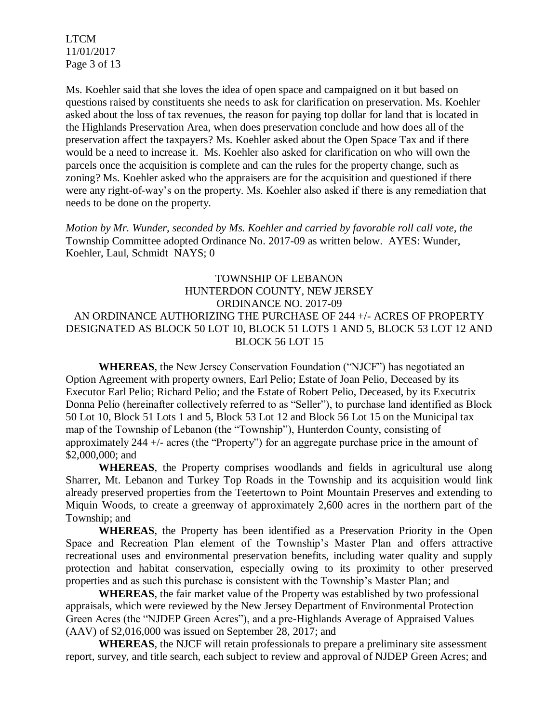LTCM 11/01/2017 Page 3 of 13

Ms. Koehler said that she loves the idea of open space and campaigned on it but based on questions raised by constituents she needs to ask for clarification on preservation. Ms. Koehler asked about the loss of tax revenues, the reason for paying top dollar for land that is located in the Highlands Preservation Area, when does preservation conclude and how does all of the preservation affect the taxpayers? Ms. Koehler asked about the Open Space Tax and if there would be a need to increase it. Ms. Koehler also asked for clarification on who will own the parcels once the acquisition is complete and can the rules for the property change, such as zoning? Ms. Koehler asked who the appraisers are for the acquisition and questioned if there were any right-of-way's on the property. Ms. Koehler also asked if there is any remediation that needs to be done on the property.

*Motion by Mr. Wunder, seconded by Ms. Koehler and carried by favorable roll call vote, the* Township Committee adopted Ordinance No. 2017-09 as written below. AYES: Wunder, Koehler, Laul, Schmidt NAYS; 0

# TOWNSHIP OF LEBANON HUNTERDON COUNTY, NEW JERSEY ORDINANCE NO. 2017-09 AN ORDINANCE AUTHORIZING THE PURCHASE OF 244 +/- ACRES OF PROPERTY DESIGNATED AS BLOCK 50 LOT 10, BLOCK 51 LOTS 1 AND 5, BLOCK 53 LOT 12 AND BLOCK 56 LOT 15

**WHEREAS**, the New Jersey Conservation Foundation ("NJCF") has negotiated an Option Agreement with property owners, Earl Pelio; Estate of Joan Pelio, Deceased by its Executor Earl Pelio; Richard Pelio; and the Estate of Robert Pelio, Deceased, by its Executrix Donna Pelio (hereinafter collectively referred to as "Seller"), to purchase land identified as Block 50 Lot 10, Block 51 Lots 1 and 5, Block 53 Lot 12 and Block 56 Lot 15 on the Municipal tax map of the Township of Lebanon (the "Township"), Hunterdon County, consisting of approximately 244 +/- acres (the "Property") for an aggregate purchase price in the amount of \$2,000,000; and

**WHEREAS**, the Property comprises woodlands and fields in agricultural use along Sharrer, Mt. Lebanon and Turkey Top Roads in the Township and its acquisition would link already preserved properties from the Teetertown to Point Mountain Preserves and extending to Miquin Woods, to create a greenway of approximately 2,600 acres in the northern part of the Township; and

**WHEREAS**, the Property has been identified as a Preservation Priority in the Open Space and Recreation Plan element of the Township's Master Plan and offers attractive recreational uses and environmental preservation benefits, including water quality and supply protection and habitat conservation, especially owing to its proximity to other preserved properties and as such this purchase is consistent with the Township's Master Plan; and

**WHEREAS**, the fair market value of the Property was established by two professional appraisals, which were reviewed by the New Jersey Department of Environmental Protection Green Acres (the "NJDEP Green Acres"), and a pre-Highlands Average of Appraised Values (AAV) of \$2,016,000 was issued on September 28, 2017; and

**WHEREAS**, the NJCF will retain professionals to prepare a preliminary site assessment report, survey, and title search, each subject to review and approval of NJDEP Green Acres; and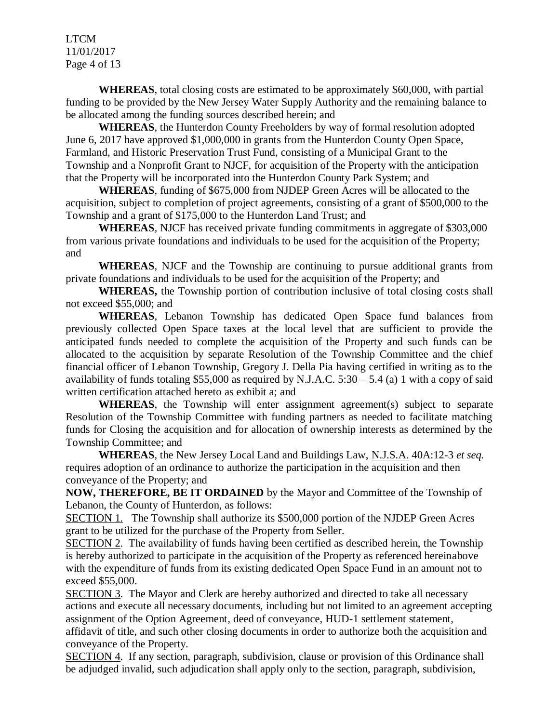LTCM 11/01/2017 Page 4 of 13

**WHEREAS**, total closing costs are estimated to be approximately \$60,000, with partial funding to be provided by the New Jersey Water Supply Authority and the remaining balance to be allocated among the funding sources described herein; and

**WHEREAS**, the Hunterdon County Freeholders by way of formal resolution adopted June 6, 2017 have approved \$1,000,000 in grants from the Hunterdon County Open Space, Farmland, and Historic Preservation Trust Fund, consisting of a Municipal Grant to the Township and a Nonprofit Grant to NJCF, for acquisition of the Property with the anticipation that the Property will be incorporated into the Hunterdon County Park System; and

**WHEREAS**, funding of \$675,000 from NJDEP Green Acres will be allocated to the acquisition, subject to completion of project agreements, consisting of a grant of \$500,000 to the Township and a grant of \$175,000 to the Hunterdon Land Trust; and

**WHEREAS**, NJCF has received private funding commitments in aggregate of \$303,000 from various private foundations and individuals to be used for the acquisition of the Property; and

**WHEREAS**, NJCF and the Township are continuing to pursue additional grants from private foundations and individuals to be used for the acquisition of the Property; and

**WHEREAS,** the Township portion of contribution inclusive of total closing costs shall not exceed \$55,000; and

**WHEREAS**, Lebanon Township has dedicated Open Space fund balances from previously collected Open Space taxes at the local level that are sufficient to provide the anticipated funds needed to complete the acquisition of the Property and such funds can be allocated to the acquisition by separate Resolution of the Township Committee and the chief financial officer of Lebanon Township, Gregory J. Della Pia having certified in writing as to the availability of funds totaling \$55,000 as required by N.J.A.C.  $5:30 - 5.4$  (a) 1 with a copy of said written certification attached hereto as exhibit a; and

**WHEREAS**, the Township will enter assignment agreement(s) subject to separate Resolution of the Township Committee with funding partners as needed to facilitate matching funds for Closing the acquisition and for allocation of ownership interests as determined by the Township Committee; and

**WHEREAS**, the New Jersey Local Land and Buildings Law, N.J.S.A. 40A:12-3 *et seq.* requires adoption of an ordinance to authorize the participation in the acquisition and then conveyance of the Property; and

**NOW, THEREFORE, BE IT ORDAINED** by the Mayor and Committee of the Township of Lebanon, the County of Hunterdon, as follows:

SECTION 1. The Township shall authorize its \$500,000 portion of the NJDEP Green Acres grant to be utilized for the purchase of the Property from Seller.

SECTION 2. The availability of funds having been certified as described herein, the Township is hereby authorized to participate in the acquisition of the Property as referenced hereinabove with the expenditure of funds from its existing dedicated Open Space Fund in an amount not to exceed \$55,000.

SECTION 3. The Mayor and Clerk are hereby authorized and directed to take all necessary actions and execute all necessary documents, including but not limited to an agreement accepting assignment of the Option Agreement, deed of conveyance, HUD-1 settlement statement, affidavit of title, and such other closing documents in order to authorize both the acquisition and conveyance of the Property.

SECTION 4. If any section, paragraph, subdivision, clause or provision of this Ordinance shall be adjudged invalid, such adjudication shall apply only to the section, paragraph, subdivision,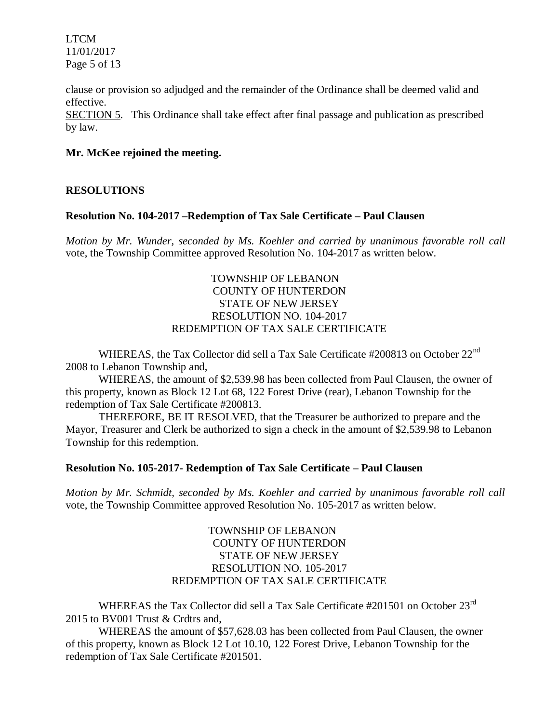LTCM 11/01/2017 Page 5 of 13

clause or provision so adjudged and the remainder of the Ordinance shall be deemed valid and effective.

SECTION 5. This Ordinance shall take effect after final passage and publication as prescribed by law.

### **Mr. McKee rejoined the meeting.**

### **RESOLUTIONS**

#### **Resolution No. 104-2017 –Redemption of Tax Sale Certificate – Paul Clausen**

*Motion by Mr. Wunder, seconded by Ms. Koehler and carried by unanimous favorable roll call*  vote, the Township Committee approved Resolution No. 104-2017 as written below.

## TOWNSHIP OF LEBANON COUNTY OF HUNTERDON STATE OF NEW JERSEY RESOLUTION NO. 104-2017 REDEMPTION OF TAX SALE CERTIFICATE

WHEREAS, the Tax Collector did sell a Tax Sale Certificate #200813 on October 22<sup>nd</sup> 2008 to Lebanon Township and,

WHEREAS, the amount of \$2,539.98 has been collected from Paul Clausen, the owner of this property, known as Block 12 Lot 68, 122 Forest Drive (rear), Lebanon Township for the redemption of Tax Sale Certificate #200813.

THEREFORE, BE IT RESOLVED, that the Treasurer be authorized to prepare and the Mayor, Treasurer and Clerk be authorized to sign a check in the amount of \$2,539.98 to Lebanon Township for this redemption.

#### **Resolution No. 105-2017- Redemption of Tax Sale Certificate – Paul Clausen**

*Motion by Mr. Schmidt, seconded by Ms. Koehler and carried by unanimous favorable roll call*  vote, the Township Committee approved Resolution No. 105-2017 as written below.

## TOWNSHIP OF LEBANON COUNTY OF HUNTERDON STATE OF NEW JERSEY RESOLUTION NO. 105-2017 REDEMPTION OF TAX SALE CERTIFICATE

WHEREAS the Tax Collector did sell a Tax Sale Certificate #201501 on October 23<sup>rd</sup> 2015 to BV001 Trust & Crdtrs and,

WHEREAS the amount of \$57,628.03 has been collected from Paul Clausen, the owner of this property, known as Block 12 Lot 10.10, 122 Forest Drive, Lebanon Township for the redemption of Tax Sale Certificate #201501.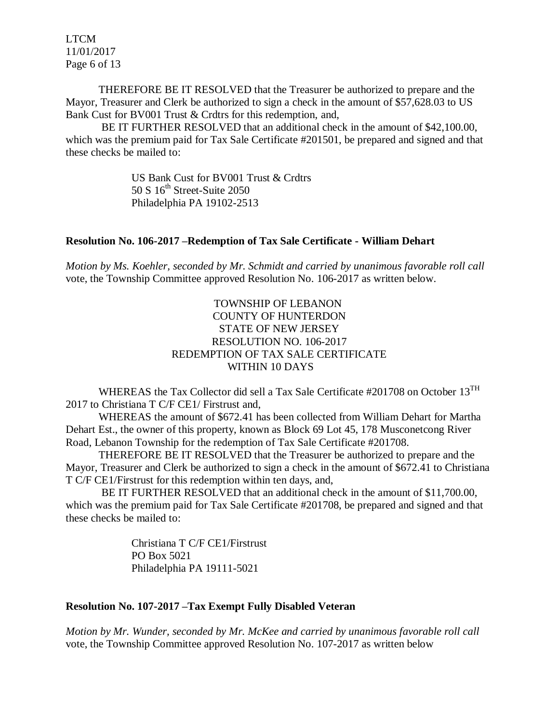LTCM 11/01/2017 Page 6 of 13

THEREFORE BE IT RESOLVED that the Treasurer be authorized to prepare and the Mayor, Treasurer and Clerk be authorized to sign a check in the amount of \$57,628.03 to US Bank Cust for BV001 Trust & Crdtrs for this redemption, and,

BE IT FURTHER RESOLVED that an additional check in the amount of \$42,100.00, which was the premium paid for Tax Sale Certificate #201501, be prepared and signed and that these checks be mailed to:

> US Bank Cust for BV001 Trust & Crdtrs  $50 S 16<sup>th</sup> Street-Suite 2050$ Philadelphia PA 19102-2513

### **Resolution No. 106-2017 –Redemption of Tax Sale Certificate - William Dehart**

*Motion by Ms. Koehler, seconded by Mr. Schmidt and carried by unanimous favorable roll call*  vote, the Township Committee approved Resolution No. 106-2017 as written below.

## TOWNSHIP OF LEBANON COUNTY OF HUNTERDON STATE OF NEW JERSEY RESOLUTION NO. 106-2017 REDEMPTION OF TAX SALE CERTIFICATE WITHIN 10 DAYS

WHEREAS the Tax Collector did sell a Tax Sale Certificate #201708 on October  $13^{TH}$ 2017 to Christiana T C/F CE1/ Firstrust and,

WHEREAS the amount of \$672.41 has been collected from William Dehart for Martha Dehart Est., the owner of this property, known as Block 69 Lot 45, 178 Musconetcong River Road, Lebanon Township for the redemption of Tax Sale Certificate #201708.

THEREFORE BE IT RESOLVED that the Treasurer be authorized to prepare and the Mayor, Treasurer and Clerk be authorized to sign a check in the amount of \$672.41 to Christiana T C/F CE1/Firstrust for this redemption within ten days, and,

BE IT FURTHER RESOLVED that an additional check in the amount of \$11,700.00, which was the premium paid for Tax Sale Certificate #201708, be prepared and signed and that these checks be mailed to:

> Christiana T C/F CE1/Firstrust PO Box 5021 Philadelphia PA 19111-5021

### **Resolution No. 107-2017 –Tax Exempt Fully Disabled Veteran**

*Motion by Mr. Wunder, seconded by Mr. McKee and carried by unanimous favorable roll call*  vote, the Township Committee approved Resolution No. 107-2017 as written below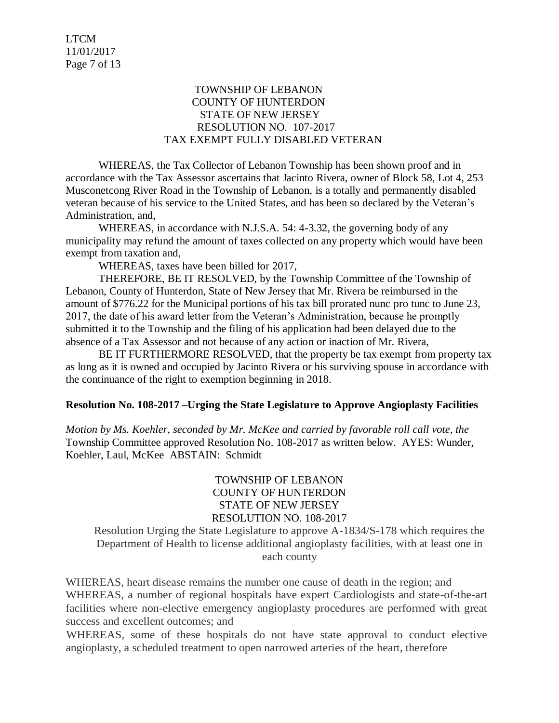## TOWNSHIP OF LEBANON COUNTY OF HUNTERDON STATE OF NEW JERSEY RESOLUTION NO. 107-2017 TAX EXEMPT FULLY DISABLED VETERAN

WHEREAS, the Tax Collector of Lebanon Township has been shown proof and in accordance with the Tax Assessor ascertains that Jacinto Rivera, owner of Block 58, Lot 4, 253 Musconetcong River Road in the Township of Lebanon, is a totally and permanently disabled veteran because of his service to the United States, and has been so declared by the Veteran's Administration, and,

WHEREAS, in accordance with N.J.S.A. 54: 4-3.32, the governing body of any municipality may refund the amount of taxes collected on any property which would have been exempt from taxation and,

WHEREAS, taxes have been billed for 2017,

THEREFORE, BE IT RESOLVED, by the Township Committee of the Township of Lebanon, County of Hunterdon, State of New Jersey that Mr. Rivera be reimbursed in the amount of \$776.22 for the Municipal portions of his tax bill prorated nunc pro tunc to June 23, 2017, the date of his award letter from the Veteran's Administration, because he promptly submitted it to the Township and the filing of his application had been delayed due to the absence of a Tax Assessor and not because of any action or inaction of Mr. Rivera,

BE IT FURTHERMORE RESOLVED, that the property be tax exempt from property tax as long as it is owned and occupied by Jacinto Rivera or his surviving spouse in accordance with the continuance of the right to exemption beginning in 2018.

### **Resolution No. 108-2017 –Urging the State Legislature to Approve Angioplasty Facilities**

*Motion by Ms. Koehler, seconded by Mr. McKee and carried by favorable roll call vote, the* Township Committee approved Resolution No. 108-2017 as written below. AYES: Wunder, Koehler, Laul, McKee ABSTAIN: Schmidt

# TOWNSHIP OF LEBANON COUNTY OF HUNTERDON STATE OF NEW JERSEY RESOLUTION NO. 108-2017

Resolution Urging the State Legislature to approve A-1834/S-178 which requires the Department of Health to license additional angioplasty facilities, with at least one in each county

WHEREAS, heart disease remains the number one cause of death in the region; and WHEREAS, a number of regional hospitals have expert Cardiologists and state-of-the-art facilities where non-elective emergency angioplasty procedures are performed with great success and excellent outcomes; and

WHEREAS, some of these hospitals do not have state approval to conduct elective angioplasty, a scheduled treatment to open narrowed arteries of the heart, therefore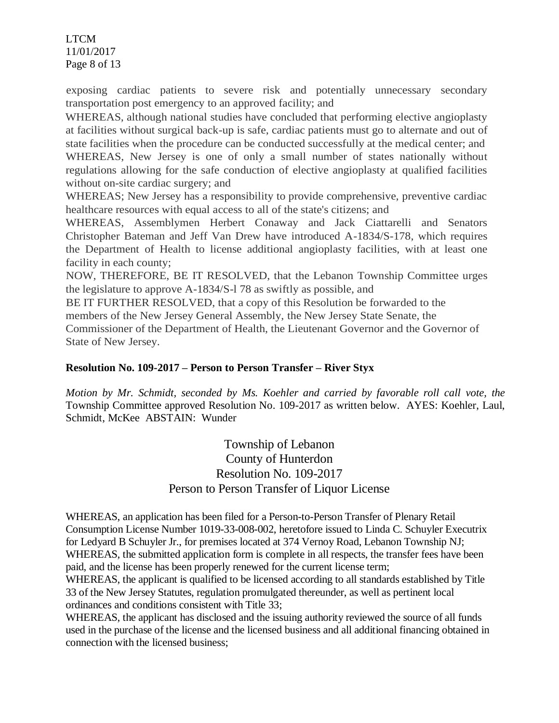LTCM 11/01/2017 Page 8 of 13

exposing cardiac patients to severe risk and potentially unnecessary secondary transportation post emergency to an approved facility; and

WHEREAS, although national studies have concluded that performing elective angioplasty at facilities without surgical back-up is safe, cardiac patients must go to alternate and out of state facilities when the procedure can be conducted successfully at the medical center; and WHEREAS, New Jersey is one of only a small number of states nationally without regulations allowing for the safe conduction of elective angioplasty at qualified facilities without on-site cardiac surgery; and

WHEREAS; New Jersey has a responsibility to provide comprehensive, preventive cardiac healthcare resources with equal access to all of the state's citizens; and

WHEREAS, Assemblymen Herbert Conaway and Jack Ciattarelli and Senators Christopher Bateman and Jeff Van Drew have introduced A-1834/S-178, which requires the Department of Health to license additional angioplasty facilities, with at least one facility in each county;

NOW, THEREFORE, BE IT RESOLVED, that the Lebanon Township Committee urges the legislature to approve A-1834/S-l 78 as swiftly as possible, and

BE IT FURTHER RESOLVED, that a copy of this Resolution be forwarded to the

members of the New Jersey General Assembly, the New Jersey State Senate, the Commissioner of the Department of Health, the Lieutenant Governor and the Governor of State of New Jersey.

# **Resolution No. 109-2017 – Person to Person Transfer – River Styx**

*Motion by Mr. Schmidt, seconded by Ms. Koehler and carried by favorable roll call vote, the* Township Committee approved Resolution No. 109-2017 as written below. AYES: Koehler, Laul, Schmidt, McKee ABSTAIN: Wunder

> Township of Lebanon County of Hunterdon Resolution No. 109-2017 Person to Person Transfer of Liquor License

WHEREAS, an application has been filed for a Person-to-Person Transfer of Plenary Retail Consumption License Number 1019-33-008-002, heretofore issued to Linda C. Schuyler Executrix for Ledyard B Schuyler Jr., for premises located at 374 Vernoy Road, Lebanon Township NJ; WHEREAS, the submitted application form is complete in all respects, the transfer fees have been paid, and the license has been properly renewed for the current license term;

WHEREAS, the applicant is qualified to be licensed according to all standards established by Title 33 of the New Jersey Statutes, regulation promulgated thereunder, as well as pertinent local ordinances and conditions consistent with Title 33;

WHEREAS, the applicant has disclosed and the issuing authority reviewed the source of all funds used in the purchase of the license and the licensed business and all additional financing obtained in connection with the licensed business;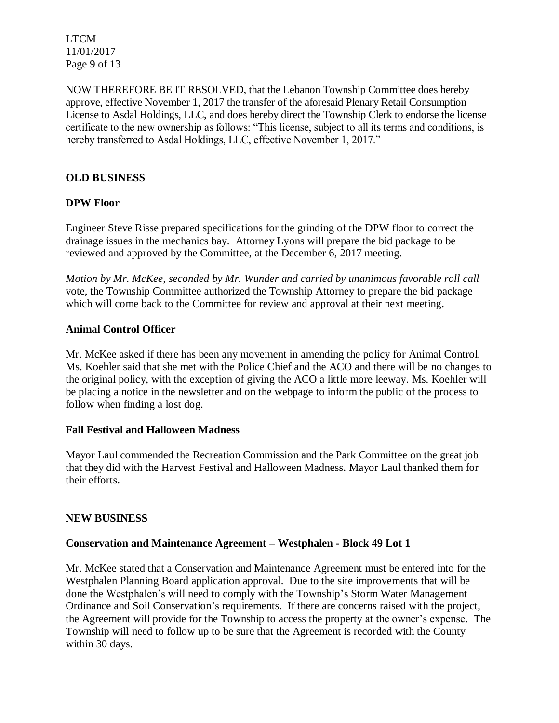LTCM 11/01/2017 Page 9 of 13

NOW THEREFORE BE IT RESOLVED, that the Lebanon Township Committee does hereby approve, effective November 1, 2017 the transfer of the aforesaid Plenary Retail Consumption License to Asdal Holdings, LLC, and does hereby direct the Township Clerk to endorse the license certificate to the new ownership as follows: "This license, subject to all its terms and conditions, is hereby transferred to Asdal Holdings, LLC, effective November 1, 2017."

# **OLD BUSINESS**

## **DPW Floor**

Engineer Steve Risse prepared specifications for the grinding of the DPW floor to correct the drainage issues in the mechanics bay. Attorney Lyons will prepare the bid package to be reviewed and approved by the Committee, at the December 6, 2017 meeting.

*Motion by Mr. McKee, seconded by Mr. Wunder and carried by unanimous favorable roll call*  vote*,* the Township Committee authorized the Township Attorney to prepare the bid package which will come back to the Committee for review and approval at their next meeting.

### **Animal Control Officer**

Mr. McKee asked if there has been any movement in amending the policy for Animal Control. Ms. Koehler said that she met with the Police Chief and the ACO and there will be no changes to the original policy, with the exception of giving the ACO a little more leeway. Ms. Koehler will be placing a notice in the newsletter and on the webpage to inform the public of the process to follow when finding a lost dog.

### **Fall Festival and Halloween Madness**

Mayor Laul commended the Recreation Commission and the Park Committee on the great job that they did with the Harvest Festival and Halloween Madness. Mayor Laul thanked them for their efforts.

### **NEW BUSINESS**

### **Conservation and Maintenance Agreement – Westphalen - Block 49 Lot 1**

Mr. McKee stated that a Conservation and Maintenance Agreement must be entered into for the Westphalen Planning Board application approval. Due to the site improvements that will be done the Westphalen's will need to comply with the Township's Storm Water Management Ordinance and Soil Conservation's requirements. If there are concerns raised with the project, the Agreement will provide for the Township to access the property at the owner's expense. The Township will need to follow up to be sure that the Agreement is recorded with the County within 30 days.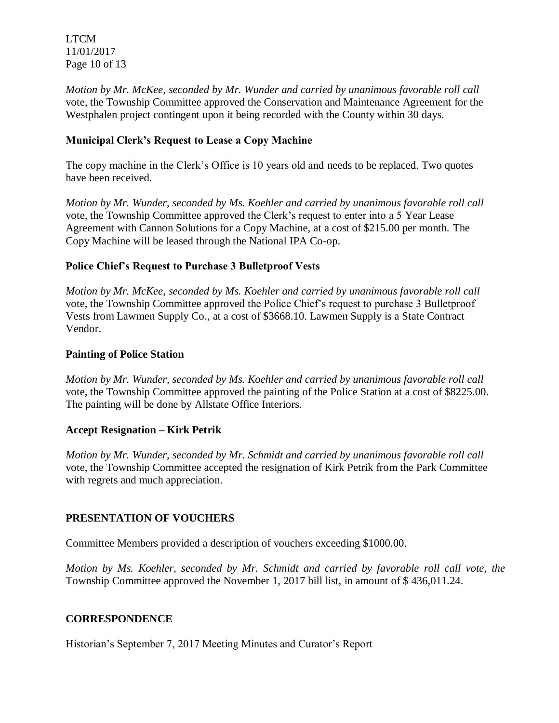LTCM 11/01/2017 Page 10 of 13

*Motion by Mr. McKee, seconded by Mr. Wunder and carried by unanimous favorable roll call*  vote*,* the Township Committee approved the Conservation and Maintenance Agreement for the Westphalen project contingent upon it being recorded with the County within 30 days.

# **Municipal Clerk's Request to Lease a Copy Machine**

The copy machine in the Clerk's Office is 10 years old and needs to be replaced. Two quotes have been received.

*Motion by Mr. Wunder, seconded by Ms. Koehler and carried by unanimous favorable roll call*  vote*,* the Township Committee approved the Clerk's request to enter into a 5 Year Lease Agreement with Cannon Solutions for a Copy Machine, at a cost of \$215.00 per month. The Copy Machine will be leased through the National IPA Co-op.

# **Police Chief's Request to Purchase 3 Bulletproof Vests**

*Motion by Mr. McKee, seconded by Ms. Koehler and carried by unanimous favorable roll call*  vote*,* the Township Committee approved the Police Chief's request to purchase 3 Bulletproof Vests from Lawmen Supply Co., at a cost of \$3668.10. Lawmen Supply is a State Contract Vendor.

# **Painting of Police Station**

*Motion by Mr. Wunder, seconded by Ms. Koehler and carried by unanimous favorable roll call*  vote*,* the Township Committee approved the painting of the Police Station at a cost of \$8225.00. The painting will be done by Allstate Office Interiors.

# **Accept Resignation – Kirk Petrik**

*Motion by Mr. Wunder, seconded by Mr. Schmidt and carried by unanimous favorable roll call*  vote*,* the Township Committee accepted the resignation of Kirk Petrik from the Park Committee with regrets and much appreciation.

# **PRESENTATION OF VOUCHERS**

Committee Members provided a description of vouchers exceeding \$1000.00.

*Motion by Ms. Koehler, seconded by Mr. Schmidt and carried by favorable roll call vote, the* Township Committee approved the November 1, 2017 bill list, in amount of \$ 436,011.24.

# **CORRESPONDENCE**

Historian's September 7, 2017 Meeting Minutes and Curator's Report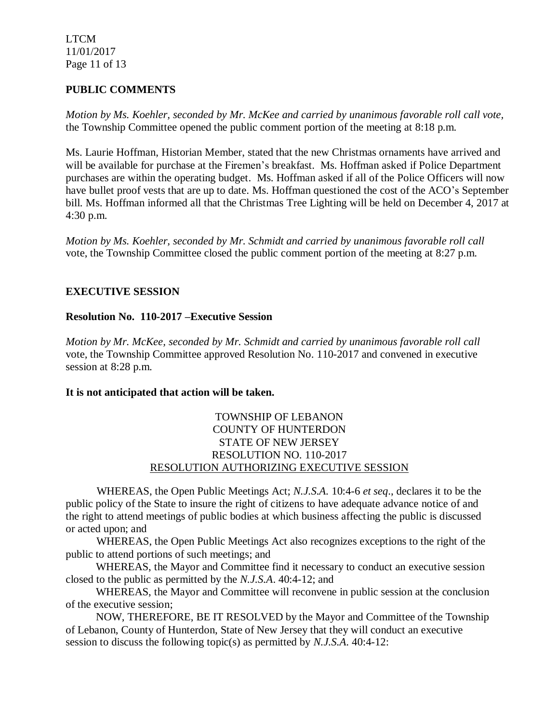LTCM 11/01/2017 Page 11 of 13

## **PUBLIC COMMENTS**

*Motion by Ms. Koehler, seconded by Mr. McKee and carried by unanimous favorable roll call vote,* the Township Committee opened the public comment portion of the meeting at 8:18 p.m.

Ms. Laurie Hoffman, Historian Member, stated that the new Christmas ornaments have arrived and will be available for purchase at the Firemen's breakfast. Ms. Hoffman asked if Police Department purchases are within the operating budget. Ms. Hoffman asked if all of the Police Officers will now have bullet proof vests that are up to date. Ms. Hoffman questioned the cost of the ACO's September bill. Ms. Hoffman informed all that the Christmas Tree Lighting will be held on December 4, 2017 at 4:30 p.m.

*Motion by Ms. Koehler, seconded by Mr. Schmidt and carried by unanimous favorable roll call* vote, the Township Committee closed the public comment portion of the meeting at 8:27 p.m.

### **EXECUTIVE SESSION**

### **Resolution No. 110-2017 –Executive Session**

*Motion by Mr. McKee, seconded by Mr. Schmidt and carried by unanimous favorable roll call*  vote*,* the Township Committee approved Resolution No. 110-2017 and convened in executive session at 8:28 p.m.

### **It is not anticipated that action will be taken.**

## TOWNSHIP OF LEBANON COUNTY OF HUNTERDON STATE OF NEW JERSEY RESOLUTION NO. 110-2017 RESOLUTION AUTHORIZING EXECUTIVE SESSION

WHEREAS, the Open Public Meetings Act; *N.J.S.A.* 10:4-6 *et seq*., declares it to be the public policy of the State to insure the right of citizens to have adequate advance notice of and the right to attend meetings of public bodies at which business affecting the public is discussed or acted upon; and

WHEREAS, the Open Public Meetings Act also recognizes exceptions to the right of the public to attend portions of such meetings; and

 WHEREAS, the Mayor and Committee find it necessary to conduct an executive session closed to the public as permitted by the *N.J.S.A*. 40:4-12; and

 WHEREAS, the Mayor and Committee will reconvene in public session at the conclusion of the executive session;

 NOW, THEREFORE, BE IT RESOLVED by the Mayor and Committee of the Township of Lebanon, County of Hunterdon, State of New Jersey that they will conduct an executive session to discuss the following topic(s) as permitted by *N.J.S.A*. 40:4-12: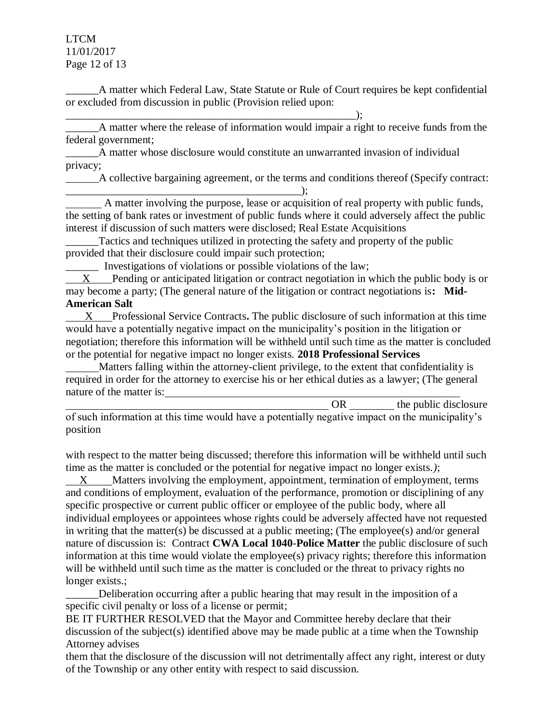LTCM 11/01/2017 Page 12 of 13

\_\_\_\_\_\_A matter which Federal Law, State Statute or Rule of Court requires be kept confidential or excluded from discussion in public (Provision relied upon:

 $\hspace{2cm}$   $\hspace{2cm}$   $\hspace{2cm}$   $\hspace{2cm}$   $\hspace{2cm}$   $\hspace{2cm}$   $\hspace{2cm}$   $\hspace{2cm}$   $\hspace{2cm}$   $\hspace{2cm}$   $\hspace{2cm}$   $\hspace{2cm}$   $\hspace{2cm}$   $\hspace{2cm}$   $\hspace{2cm}$   $\hspace{2cm}$   $\hspace{2cm}$   $\hspace{2cm}$   $\hspace{2cm}$   $\hspace{2cm}$   $\hspace{2cm}$   $\hspace{2cm}$  \_\_\_\_\_\_A matter where the release of information would impair a right to receive funds from the federal government;

\_\_\_\_\_\_A matter whose disclosure would constitute an unwarranted invasion of individual privacy;

 A collective bargaining agreement, or the terms and conditions thereof (Specify contract:  $\qquad \qquad$  ):

 A matter involving the purpose, lease or acquisition of real property with public funds, the setting of bank rates or investment of public funds where it could adversely affect the public interest if discussion of such matters were disclosed; Real Estate Acquisitions

Tactics and techniques utilized in protecting the safety and property of the public provided that their disclosure could impair such protection;

\_\_\_\_\_\_ Investigations of violations or possible violations of the law;

 X Pending or anticipated litigation or contract negotiation in which the public body is or may become a party; (The general nature of the litigation or contract negotiations is**: Mid-American Salt**

 X Professional Service Contracts**.** The public disclosure of such information at this time would have a potentially negative impact on the municipality's position in the litigation or negotiation; therefore this information will be withheld until such time as the matter is concluded or the potential for negative impact no longer exists. **2018 Professional Services**

 Matters falling within the attorney-client privilege, to the extent that confidentiality is required in order for the attorney to exercise his or her ethical duties as a lawyer; (The general nature of the matter is:

|                                                                                                 | the public disclosure |
|-------------------------------------------------------------------------------------------------|-----------------------|
| of such information at this time would have a potentially negative impact on the municipality's |                       |
| position                                                                                        |                       |

with respect to the matter being discussed; therefore this information will be withheld until such time as the matter is concluded or the potential for negative impact no longer exists.*)*;

X Matters involving the employment, appointment, termination of employment, terms and conditions of employment, evaluation of the performance, promotion or disciplining of any specific prospective or current public officer or employee of the public body, where all individual employees or appointees whose rights could be adversely affected have not requested in writing that the matter(s) be discussed at a public meeting; (The employee(s) and/or general nature of discussion is: Contract **CWA Local 1040**-**Police Matter** the public disclosure of such information at this time would violate the employee(s) privacy rights; therefore this information will be withheld until such time as the matter is concluded or the threat to privacy rights no longer exists.;

Deliberation occurring after a public hearing that may result in the imposition of a specific civil penalty or loss of a license or permit;

BE IT FURTHER RESOLVED that the Mayor and Committee hereby declare that their discussion of the subject(s) identified above may be made public at a time when the Township Attorney advises

them that the disclosure of the discussion will not detrimentally affect any right, interest or duty of the Township or any other entity with respect to said discussion.